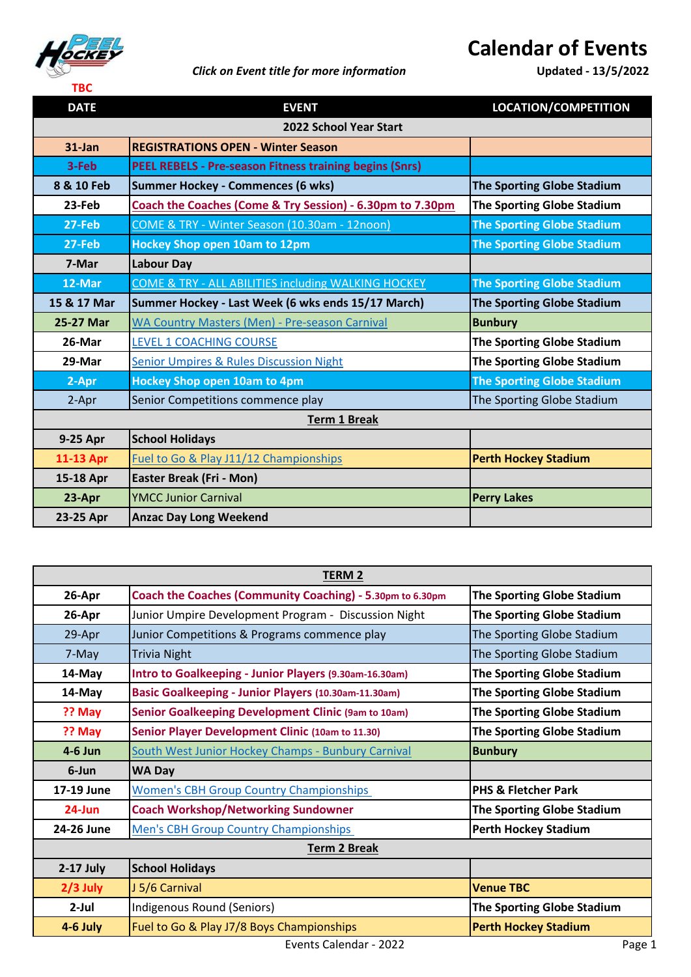

## *Click on Event title for more information* **Updated - 13/5/2022**

## **Calendar of Events**

| <b>DATE</b>                   | <b>EVENT</b>                                                   | LOCATION/COMPETITION              |  |
|-------------------------------|----------------------------------------------------------------|-----------------------------------|--|
| <b>2022 School Year Start</b> |                                                                |                                   |  |
| $31$ -Jan                     | <b>REGISTRATIONS OPEN - Winter Season</b>                      |                                   |  |
| 3-Feb                         | <b>PEEL REBELS - Pre-season Fitness training begins (Snrs)</b> |                                   |  |
| 8 & 10 Feb                    | <b>Summer Hockey - Commences (6 wks)</b>                       | <b>The Sporting Globe Stadium</b> |  |
| 23-Feb                        | Coach the Coaches (Come & Try Session) - 6.30pm to 7.30pm      | The Sporting Globe Stadium        |  |
| 27-Feb                        | COME & TRY - Winter Season (10.30am - 12noon)                  | <b>The Sporting Globe Stadium</b> |  |
| 27-Feb                        | <b>Hockey Shop open 10am to 12pm</b>                           | <b>The Sporting Globe Stadium</b> |  |
| 7-Mar                         | <b>Labour Day</b>                                              |                                   |  |
| 12-Mar                        | COME & TRY - ALL ABILITIES including WALKING HOCKEY            | <b>The Sporting Globe Stadium</b> |  |
| 15 & 17 Mar                   | Summer Hockey - Last Week (6 wks ends 15/17 March)             | <b>The Sporting Globe Stadium</b> |  |
| 25-27 Mar                     | WA Country Masters (Men) - Pre-season Carnival                 | <b>Bunbury</b>                    |  |
| 26-Mar                        | <b>LEVEL 1 COACHING COURSE</b>                                 | The Sporting Globe Stadium        |  |
| 29-Mar                        | <b>Senior Umpires &amp; Rules Discussion Night</b>             | <b>The Sporting Globe Stadium</b> |  |
| 2-Apr                         | <b>Hockey Shop open 10am to 4pm</b>                            | <b>The Sporting Globe Stadium</b> |  |
| 2-Apr                         | Senior Competitions commence play                              | The Sporting Globe Stadium        |  |
| <b>Term 1 Break</b>           |                                                                |                                   |  |
| 9-25 Apr                      | <b>School Holidays</b>                                         |                                   |  |
| 11-13 Apr                     | Fuel to Go & Play J11/12 Championships                         | <b>Perth Hockey Stadium</b>       |  |
| 15-18 Apr                     | Easter Break (Fri - Mon)                                       |                                   |  |
| 23-Apr                        | <b>YMCC Junior Carnival</b>                                    | <b>Perry Lakes</b>                |  |
| 23-25 Apr                     | <b>Anzac Day Long Weekend</b>                                  |                                   |  |

| <b>TERM 2</b>       |                                                           |                                   |
|---------------------|-----------------------------------------------------------|-----------------------------------|
| 26-Apr              | Coach the Coaches (Community Coaching) - 5.30pm to 6.30pm | <b>The Sporting Globe Stadium</b> |
| 26-Apr              | Junior Umpire Development Program - Discussion Night      | <b>The Sporting Globe Stadium</b> |
| 29-Apr              | Junior Competitions & Programs commence play              | The Sporting Globe Stadium        |
| 7-May               | <b>Trivia Night</b>                                       | The Sporting Globe Stadium        |
| 14-May              | Intro to Goalkeeping - Junior Players (9.30am-16.30am)    | <b>The Sporting Globe Stadium</b> |
| 14-May              | Basic Goalkeeping - Junior Players (10.30am-11.30am)      | <b>The Sporting Globe Stadium</b> |
| ?? May              | Senior Goalkeeping Development Clinic (9am to 10am)       | The Sporting Globe Stadium        |
| ?? May              | Senior Player Development Clinic (10am to 11.30)          | <b>The Sporting Globe Stadium</b> |
| 4-6 Jun             | South West Junior Hockey Champs - Bunbury Carnival        | <b>Bunbury</b>                    |
| 6-Jun               | <b>WA Day</b>                                             |                                   |
| 17-19 June          | <b>Women's CBH Group Country Championships</b>            | <b>PHS &amp; Fletcher Park</b>    |
| $24$ -Jun           | <b>Coach Workshop/Networking Sundowner</b>                | <b>The Sporting Globe Stadium</b> |
| 24-26 June          | <b>Men's CBH Group Country Championships</b>              | <b>Perth Hockey Stadium</b>       |
| <b>Term 2 Break</b> |                                                           |                                   |
| $2-17$ July         | <b>School Holidays</b>                                    |                                   |
| $2/3$ July          | J 5/6 Carnival                                            | <b>Venue TBC</b>                  |
| $2$ -Jul            | Indigenous Round (Seniors)                                | <b>The Sporting Globe Stadium</b> |
| 4-6 July            | Fuel to Go & Play J7/8 Boys Championships                 | <b>Perth Hockey Stadium</b>       |